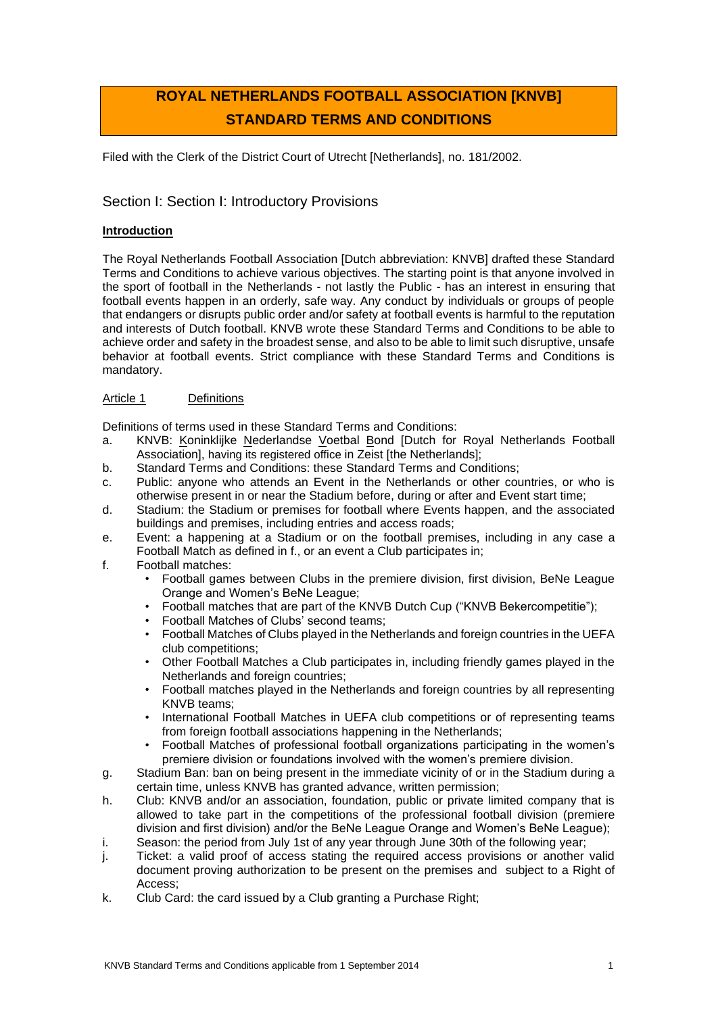# **ROYAL NETHERLANDS FOOTBALL ASSOCIATION [KNVB] STANDARD TERMS AND CONDITIONS**

Filed with the Clerk of the District Court of Utrecht [Netherlands], no. 181/2002.

# Section I: Section I: Introductory Provisions

# **Introduction**

The Royal Netherlands Football Association [Dutch abbreviation: KNVB] drafted these Standard Terms and Conditions to achieve various objectives. The starting point is that anyone involved in the sport of football in the Netherlands - not lastly the Public - has an interest in ensuring that football events happen in an orderly, safe way. Any conduct by individuals or groups of people that endangers or disrupts public order and/or safety at football events is harmful to the reputation and interests of Dutch football. KNVB wrote these Standard Terms and Conditions to be able to achieve order and safety in the broadest sense, and also to be able to limit such disruptive, unsafe behavior at football events. Strict compliance with these Standard Terms and Conditions is mandatory.

# Article 1 Definitions

Definitions of terms used in these Standard Terms and Conditions:

- a. KNVB: Koninklijke Nederlandse Voetbal Bond [Dutch for Royal Netherlands Football Association], having its registered office in Zeist [the Netherlands];
- b. Standard Terms and Conditions: these Standard Terms and Conditions;
- c. Public: anyone who attends an Event in the Netherlands or other countries, or who is otherwise present in or near the Stadium before, during or after and Event start time;
- d. Stadium: the Stadium or premises for football where Events happen, and the associated buildings and premises, including entries and access roads;
- e. Event: a happening at a Stadium or on the football premises, including in any case a Football Match as defined in f., or an event a Club participates in;
- f. Football matches:
	- Football games between Clubs in the premiere division, first division, BeNe League Orange and Women's BeNe League;
	- Football matches that are part of the KNVB Dutch Cup ("KNVB Bekercompetitie");
	- Football Matches of Clubs' second teams;
	- Football Matches of Clubs played in the Netherlands and foreign countries in the UEFA club competitions;
	- Other Football Matches a Club participates in, including friendly games played in the Netherlands and foreign countries;
	- Football matches played in the Netherlands and foreign countries by all representing KNVB teams;
	- International Football Matches in UEFA club competitions or of representing teams from foreign football associations happening in the Netherlands;
	- Football Matches of professional football organizations participating in the women's premiere division or foundations involved with the women's premiere division.
- g. Stadium Ban: ban on being present in the immediate vicinity of or in the Stadium during a certain time, unless KNVB has granted advance, written permission;
- h. Club: KNVB and/or an association, foundation, public or private limited company that is allowed to take part in the competitions of the professional football division (premiere division and first division) and/or the BeNe League Orange and Women's BeNe League);
- i. Season: the period from July 1st of any year through June 30th of the following year;
- j. Ticket: a valid proof of access stating the required access provisions or another valid document proving authorization to be present on the premises and subject to a Right of Access;
- k. Club Card: the card issued by a Club granting a Purchase Right;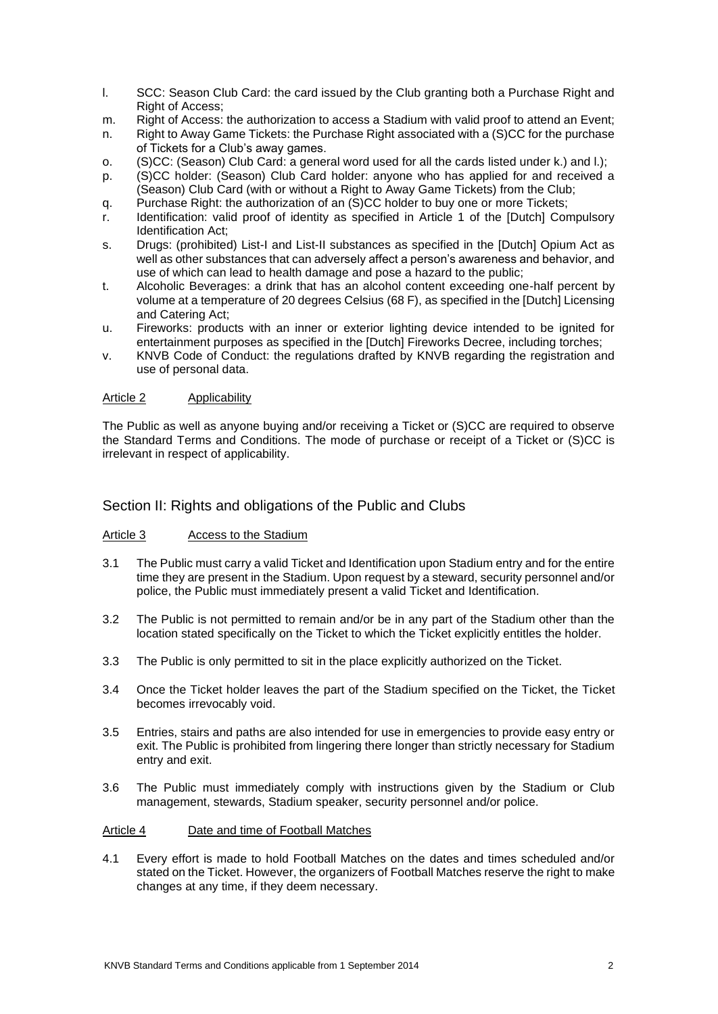- l. SCC: Season Club Card: the card issued by the Club granting both a Purchase Right and Right of Access;
- m. Right of Access: the authorization to access a Stadium with valid proof to attend an Event;
- n. Right to Away Game Tickets: the Purchase Right associated with a (S)CC for the purchase of Tickets for a Club's away games.
- o. (S)CC: (Season) Club Card: a general word used for all the cards listed under k.) and l.);
- p. (S)CC holder: (Season) Club Card holder: anyone who has applied for and received a (Season) Club Card (with or without a Right to Away Game Tickets) from the Club;
- q. Purchase Right: the authorization of an (S)CC holder to buy one or more Tickets;
- r. Identification: valid proof of identity as specified in Article 1 of the [Dutch] Compulsory Identification Act;
- s. Drugs: (prohibited) List-I and List-II substances as specified in the [Dutch] Opium Act as well as other substances that can adversely affect a person's awareness and behavior, and use of which can lead to health damage and pose a hazard to the public;
- t. Alcoholic Beverages: a drink that has an alcohol content exceeding one-half percent by volume at a temperature of 20 degrees Celsius (68 F), as specified in the [Dutch] Licensing and Catering Act;
- u. Fireworks: products with an inner or exterior lighting device intended to be ignited for entertainment purposes as specified in the [Dutch] Fireworks Decree, including torches;
- v. KNVB Code of Conduct: the regulations drafted by KNVB regarding the registration and use of personal data.

## Article 2 Applicability

The Public as well as anyone buying and/or receiving a Ticket or (S)CC are required to observe the Standard Terms and Conditions. The mode of purchase or receipt of a Ticket or (S)CC is irrelevant in respect of applicability.

# Section II: Rights and obligations of the Public and Clubs

# Article 3 Access to the Stadium

- 3.1 The Public must carry a valid Ticket and Identification upon Stadium entry and for the entire time they are present in the Stadium. Upon request by a steward, security personnel and/or police, the Public must immediately present a valid Ticket and Identification.
- 3.2 The Public is not permitted to remain and/or be in any part of the Stadium other than the location stated specifically on the Ticket to which the Ticket explicitly entitles the holder.
- 3.3 The Public is only permitted to sit in the place explicitly authorized on the Ticket.
- 3.4 Once the Ticket holder leaves the part of the Stadium specified on the Ticket, the Ticket becomes irrevocably void.
- 3.5 Entries, stairs and paths are also intended for use in emergencies to provide easy entry or exit. The Public is prohibited from lingering there longer than strictly necessary for Stadium entry and exit.
- 3.6 The Public must immediately comply with instructions given by the Stadium or Club management, stewards, Stadium speaker, security personnel and/or police.

## Article 4 Date and time of Football Matches

4.1 Every effort is made to hold Football Matches on the dates and times scheduled and/or stated on the Ticket. However, the organizers of Football Matches reserve the right to make changes at any time, if they deem necessary.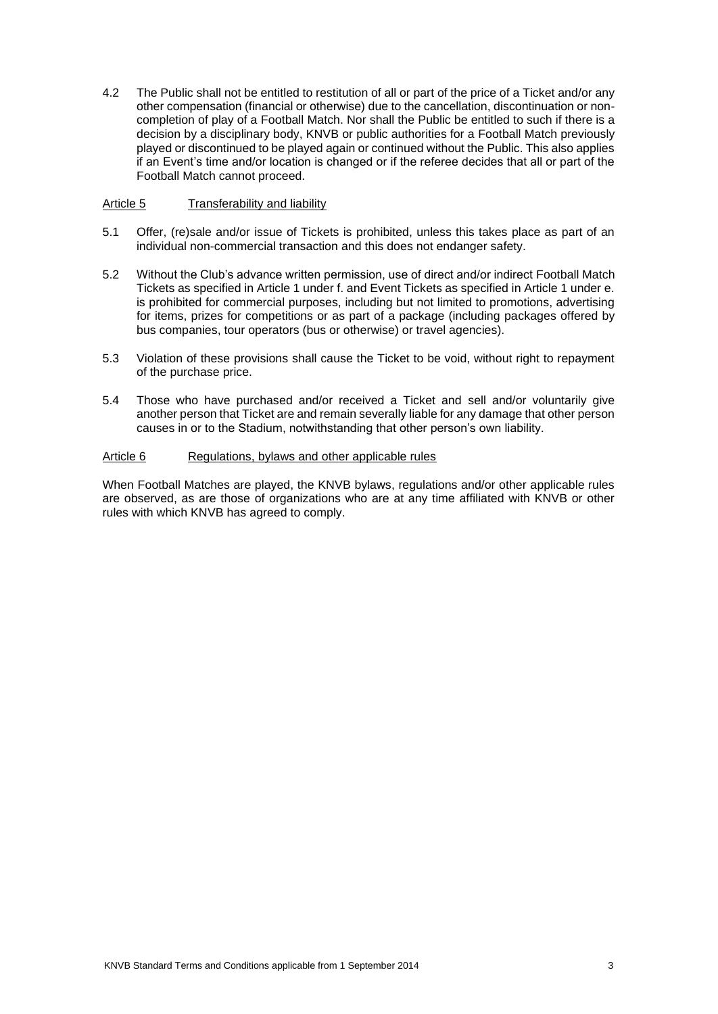4.2 The Public shall not be entitled to restitution of all or part of the price of a Ticket and/or any other compensation (financial or otherwise) due to the cancellation, discontinuation or noncompletion of play of a Football Match. Nor shall the Public be entitled to such if there is a decision by a disciplinary body, KNVB or public authorities for a Football Match previously played or discontinued to be played again or continued without the Public. This also applies if an Event's time and/or location is changed or if the referee decides that all or part of the Football Match cannot proceed.

## Article 5 Transferability and liability

- 5.1 Offer, (re)sale and/or issue of Tickets is prohibited, unless this takes place as part of an individual non-commercial transaction and this does not endanger safety.
- 5.2 Without the Club's advance written permission, use of direct and/or indirect Football Match Tickets as specified in Article 1 under f. and Event Tickets as specified in Article 1 under e. is prohibited for commercial purposes, including but not limited to promotions, advertising for items, prizes for competitions or as part of a package (including packages offered by bus companies, tour operators (bus or otherwise) or travel agencies).
- 5.3 Violation of these provisions shall cause the Ticket to be void, without right to repayment of the purchase price.
- 5.4 Those who have purchased and/or received a Ticket and sell and/or voluntarily give another person that Ticket are and remain severally liable for any damage that other person causes in or to the Stadium, notwithstanding that other person's own liability.

## Article 6 Regulations, bylaws and other applicable rules

When Football Matches are played, the KNVB bylaws, regulations and/or other applicable rules are observed, as are those of organizations who are at any time affiliated with KNVB or other rules with which KNVB has agreed to comply.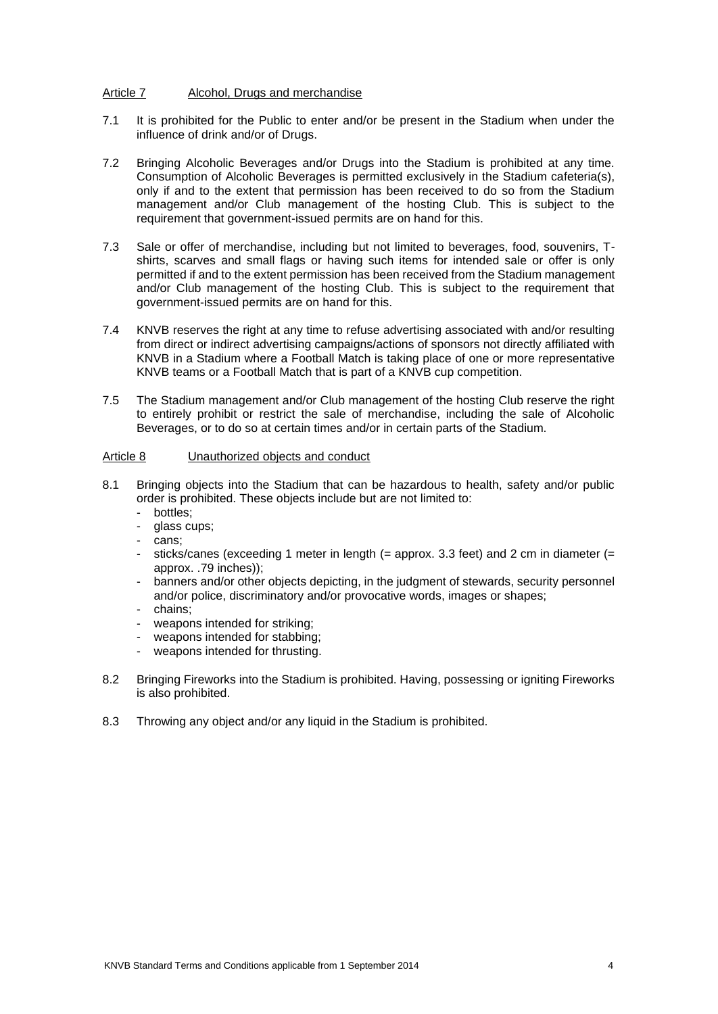## Article 7 Alcohol, Drugs and merchandise

- 7.1 It is prohibited for the Public to enter and/or be present in the Stadium when under the influence of drink and/or of Drugs.
- 7.2 Bringing Alcoholic Beverages and/or Drugs into the Stadium is prohibited at any time. Consumption of Alcoholic Beverages is permitted exclusively in the Stadium cafeteria(s), only if and to the extent that permission has been received to do so from the Stadium management and/or Club management of the hosting Club. This is subject to the requirement that government-issued permits are on hand for this.
- 7.3 Sale or offer of merchandise, including but not limited to beverages, food, souvenirs, Tshirts, scarves and small flags or having such items for intended sale or offer is only permitted if and to the extent permission has been received from the Stadium management and/or Club management of the hosting Club. This is subject to the requirement that government-issued permits are on hand for this.
- 7.4 KNVB reserves the right at any time to refuse advertising associated with and/or resulting from direct or indirect advertising campaigns/actions of sponsors not directly affiliated with KNVB in a Stadium where a Football Match is taking place of one or more representative KNVB teams or a Football Match that is part of a KNVB cup competition.
- 7.5 The Stadium management and/or Club management of the hosting Club reserve the right to entirely prohibit or restrict the sale of merchandise, including the sale of Alcoholic Beverages, or to do so at certain times and/or in certain parts of the Stadium.

## Article 8 Unauthorized objects and conduct

- 8.1 Bringing objects into the Stadium that can be hazardous to health, safety and/or public order is prohibited. These objects include but are not limited to:
	- bottles;
	- glass cups;
	- cans;
	- sticks/canes (exceeding 1 meter in length  $(=$  approx. 3.3 feet) and 2 cm in diameter  $(=$ approx. .79 inches));
	- banners and/or other objects depicting, in the judgment of stewards, security personnel and/or police, discriminatory and/or provocative words, images or shapes;
	- chains;
	- weapons intended for striking;
	- weapons intended for stabbing;
	- weapons intended for thrusting.
- 8.2 Bringing Fireworks into the Stadium is prohibited. Having, possessing or igniting Fireworks is also prohibited.
- 8.3 Throwing any object and/or any liquid in the Stadium is prohibited.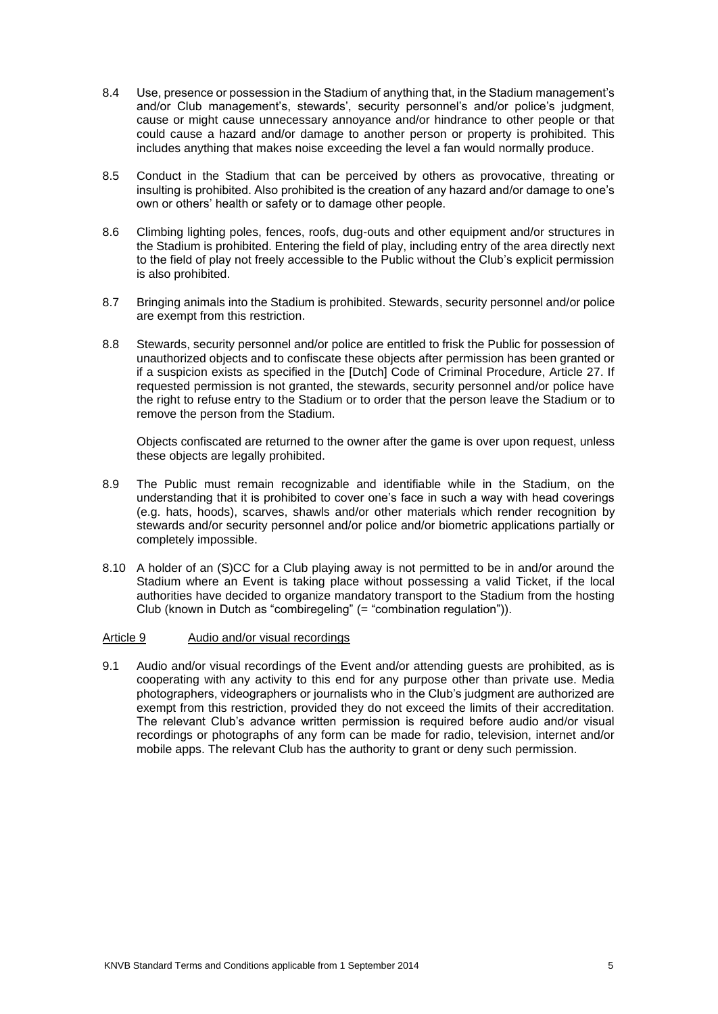- 8.4 Use, presence or possession in the Stadium of anything that, in the Stadium management's and/or Club management's, stewards', security personnel's and/or police's judgment, cause or might cause unnecessary annoyance and/or hindrance to other people or that could cause a hazard and/or damage to another person or property is prohibited. This includes anything that makes noise exceeding the level a fan would normally produce.
- 8.5 Conduct in the Stadium that can be perceived by others as provocative, threating or insulting is prohibited. Also prohibited is the creation of any hazard and/or damage to one's own or others' health or safety or to damage other people.
- 8.6 Climbing lighting poles, fences, roofs, dug-outs and other equipment and/or structures in the Stadium is prohibited. Entering the field of play, including entry of the area directly next to the field of play not freely accessible to the Public without the Club's explicit permission is also prohibited.
- 8.7 Bringing animals into the Stadium is prohibited. Stewards, security personnel and/or police are exempt from this restriction.
- 8.8 Stewards, security personnel and/or police are entitled to frisk the Public for possession of unauthorized objects and to confiscate these objects after permission has been granted or if a suspicion exists as specified in the [Dutch] Code of Criminal Procedure, Article 27. If requested permission is not granted, the stewards, security personnel and/or police have the right to refuse entry to the Stadium or to order that the person leave the Stadium or to remove the person from the Stadium.

Objects confiscated are returned to the owner after the game is over upon request, unless these objects are legally prohibited.

- 8.9 The Public must remain recognizable and identifiable while in the Stadium, on the understanding that it is prohibited to cover one's face in such a way with head coverings (e.g. hats, hoods), scarves, shawls and/or other materials which render recognition by stewards and/or security personnel and/or police and/or biometric applications partially or completely impossible.
- 8.10 A holder of an (S)CC for a Club playing away is not permitted to be in and/or around the Stadium where an Event is taking place without possessing a valid Ticket, if the local authorities have decided to organize mandatory transport to the Stadium from the hosting Club (known in Dutch as "combiregeling" (= "combination regulation")).

## Article 9 Audio and/or visual recordings

9.1 Audio and/or visual recordings of the Event and/or attending guests are prohibited, as is cooperating with any activity to this end for any purpose other than private use. Media photographers, videographers or journalists who in the Club's judgment are authorized are exempt from this restriction, provided they do not exceed the limits of their accreditation. The relevant Club's advance written permission is required before audio and/or visual recordings or photographs of any form can be made for radio, television, internet and/or mobile apps. The relevant Club has the authority to grant or deny such permission.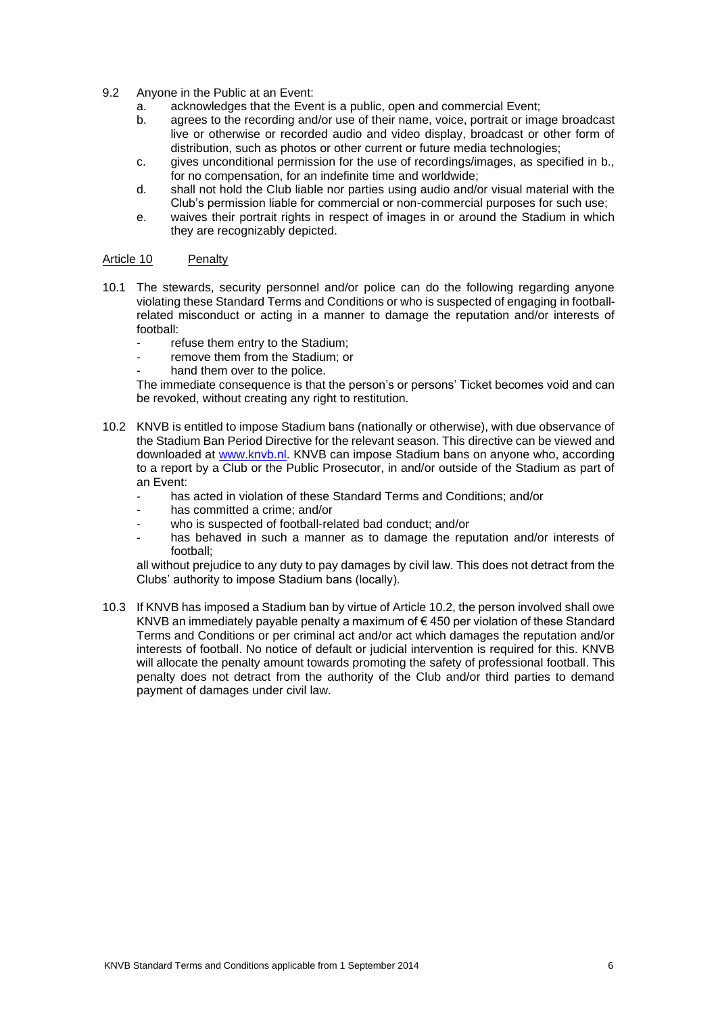- 9.2 Anyone in the Public at an Event:
	- a. acknowledges that the Event is a public, open and commercial Event;
	- b. agrees to the recording and/or use of their name, voice, portrait or image broadcast live or otherwise or recorded audio and video display, broadcast or other form of distribution, such as photos or other current or future media technologies;
	- c. gives unconditional permission for the use of recordings/images, as specified in b., for no compensation, for an indefinite time and worldwide;
	- d. shall not hold the Club liable nor parties using audio and/or visual material with the Club's permission liable for commercial or non-commercial purposes for such use;
	- e. waives their portrait rights in respect of images in or around the Stadium in which they are recognizably depicted.

## Article 10 Penalty

- 10.1 The stewards, security personnel and/or police can do the following regarding anyone violating these Standard Terms and Conditions or who is suspected of engaging in footballrelated misconduct or acting in a manner to damage the reputation and/or interests of football:
	- refuse them entry to the Stadium;
	- remove them from the Stadium; or
	- hand them over to the police.

The immediate consequence is that the person's or persons' Ticket becomes void and can be revoked, without creating any right to restitution.

- 10.2 KNVB is entitled to impose Stadium bans (nationally or otherwise), with due observance of the Stadium Ban Period Directive for the relevant season. This directive can be viewed and downloaded at [www.knvb.nl.](http://www.knvb.nl/) KNVB can impose Stadium bans on anyone who, according to a report by a Club or the Public Prosecutor, in and/or outside of the Stadium as part of an Event:
	- has acted in violation of these Standard Terms and Conditions; and/or
	- has committed a crime; and/or
	- who is suspected of football-related bad conduct; and/or
	- has behaved in such a manner as to damage the reputation and/or interests of football;

all without prejudice to any duty to pay damages by civil law. This does not detract from the Clubs' authority to impose Stadium bans (locally).

10.3 If KNVB has imposed a Stadium ban by virtue of Article 10.2, the person involved shall owe KNVB an immediately payable penalty a maximum of € 450 per violation of these Standard Terms and Conditions or per criminal act and/or act which damages the reputation and/or interests of football. No notice of default or judicial intervention is required for this. KNVB will allocate the penalty amount towards promoting the safety of professional football. This penalty does not detract from the authority of the Club and/or third parties to demand payment of damages under civil law.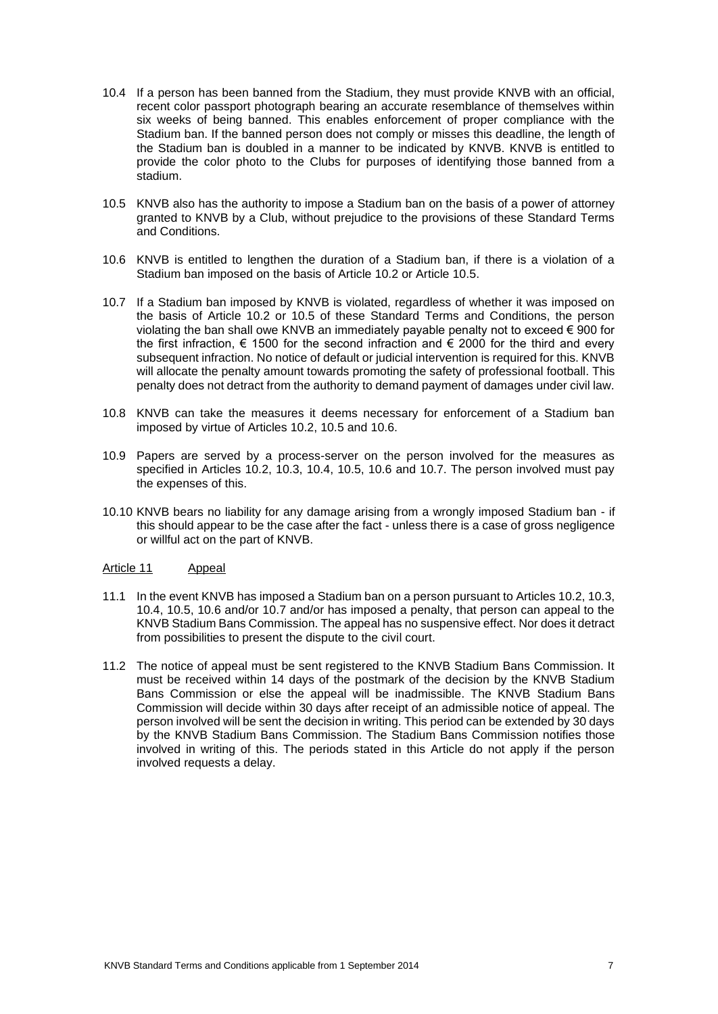- 10.4 If a person has been banned from the Stadium, they must provide KNVB with an official, recent color passport photograph bearing an accurate resemblance of themselves within six weeks of being banned. This enables enforcement of proper compliance with the Stadium ban. If the banned person does not comply or misses this deadline, the length of the Stadium ban is doubled in a manner to be indicated by KNVB. KNVB is entitled to provide the color photo to the Clubs for purposes of identifying those banned from a stadium.
- 10.5 KNVB also has the authority to impose a Stadium ban on the basis of a power of attorney granted to KNVB by a Club, without prejudice to the provisions of these Standard Terms and Conditions.
- 10.6 KNVB is entitled to lengthen the duration of a Stadium ban, if there is a violation of a Stadium ban imposed on the basis of Article 10.2 or Article 10.5.
- 10.7 If a Stadium ban imposed by KNVB is violated, regardless of whether it was imposed on the basis of Article 10.2 or 10.5 of these Standard Terms and Conditions, the person violating the ban shall owe KNVB an immediately payable penalty not to exceed € 900 for the first infraction,  $\epsilon$  1500 for the second infraction and  $\epsilon$  2000 for the third and every subsequent infraction. No notice of default or judicial intervention is required for this. KNVB will allocate the penalty amount towards promoting the safety of professional football. This penalty does not detract from the authority to demand payment of damages under civil law.
- 10.8 KNVB can take the measures it deems necessary for enforcement of a Stadium ban imposed by virtue of Articles 10.2, 10.5 and 10.6.
- 10.9 Papers are served by a process-server on the person involved for the measures as specified in Articles 10.2, 10.3, 10.4, 10.5, 10.6 and 10.7. The person involved must pay the expenses of this.
- 10.10 KNVB bears no liability for any damage arising from a wrongly imposed Stadium ban if this should appear to be the case after the fact - unless there is a case of gross negligence or willful act on the part of KNVB.

## Article 11 Appeal

- 11.1 In the event KNVB has imposed a Stadium ban on a person pursuant to Articles 10.2, 10.3, 10.4, 10.5, 10.6 and/or 10.7 and/or has imposed a penalty, that person can appeal to the KNVB Stadium Bans Commission. The appeal has no suspensive effect. Nor does it detract from possibilities to present the dispute to the civil court.
- 11.2 The notice of appeal must be sent registered to the KNVB Stadium Bans Commission. It must be received within 14 days of the postmark of the decision by the KNVB Stadium Bans Commission or else the appeal will be inadmissible. The KNVB Stadium Bans Commission will decide within 30 days after receipt of an admissible notice of appeal. The person involved will be sent the decision in writing. This period can be extended by 30 days by the KNVB Stadium Bans Commission. The Stadium Bans Commission notifies those involved in writing of this. The periods stated in this Article do not apply if the person involved requests a delay.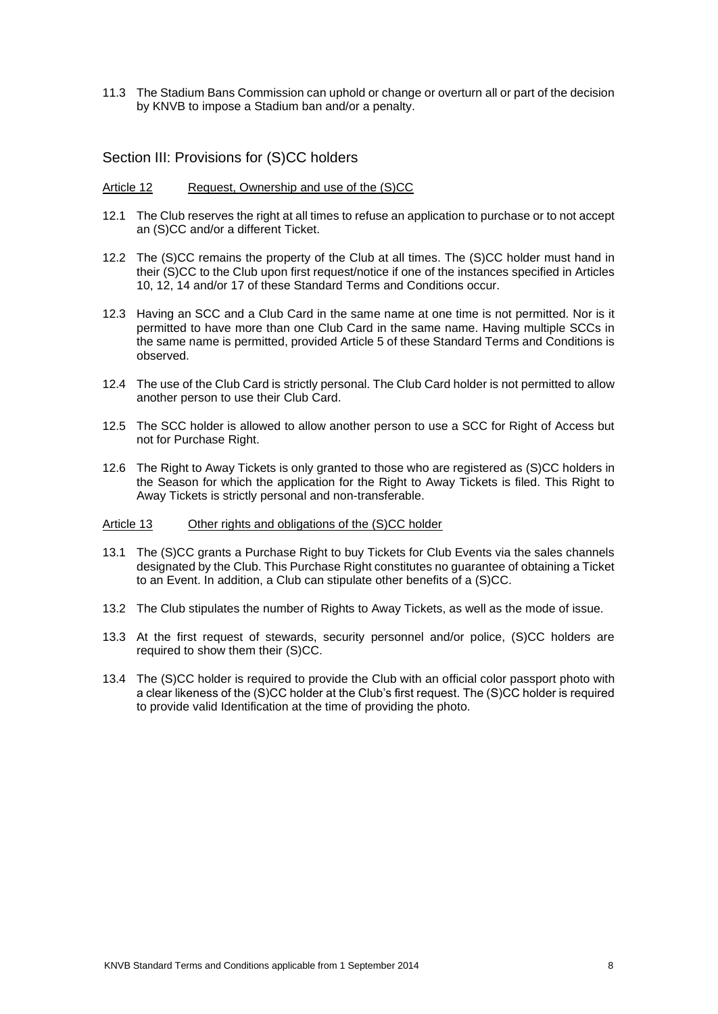11.3 The Stadium Bans Commission can uphold or change or overturn all or part of the decision by KNVB to impose a Stadium ban and/or a penalty.

Section III: Provisions for (S)CC holders

#### Article 12 Request, Ownership and use of the (S)CC

- 12.1 The Club reserves the right at all times to refuse an application to purchase or to not accept an (S)CC and/or a different Ticket.
- 12.2 The (S)CC remains the property of the Club at all times. The (S)CC holder must hand in their (S)CC to the Club upon first request/notice if one of the instances specified in Articles 10, 12, 14 and/or 17 of these Standard Terms and Conditions occur.
- 12.3 Having an SCC and a Club Card in the same name at one time is not permitted. Nor is it permitted to have more than one Club Card in the same name. Having multiple SCCs in the same name is permitted, provided Article 5 of these Standard Terms and Conditions is observed.
- 12.4 The use of the Club Card is strictly personal. The Club Card holder is not permitted to allow another person to use their Club Card.
- 12.5 The SCC holder is allowed to allow another person to use a SCC for Right of Access but not for Purchase Right.
- 12.6 The Right to Away Tickets is only granted to those who are registered as (S)CC holders in the Season for which the application for the Right to Away Tickets is filed. This Right to Away Tickets is strictly personal and non-transferable.

#### Article 13 Other rights and obligations of the (S)CC holder

- 13.1 The (S)CC grants a Purchase Right to buy Tickets for Club Events via the sales channels designated by the Club. This Purchase Right constitutes no guarantee of obtaining a Ticket to an Event. In addition, a Club can stipulate other benefits of a (S)CC.
- 13.2 The Club stipulates the number of Rights to Away Tickets, as well as the mode of issue.
- 13.3 At the first request of stewards, security personnel and/or police, (S)CC holders are required to show them their (S)CC.
- 13.4 The (S)CC holder is required to provide the Club with an official color passport photo with a clear likeness of the (S)CC holder at the Club's first request. The (S)CC holder is required to provide valid Identification at the time of providing the photo.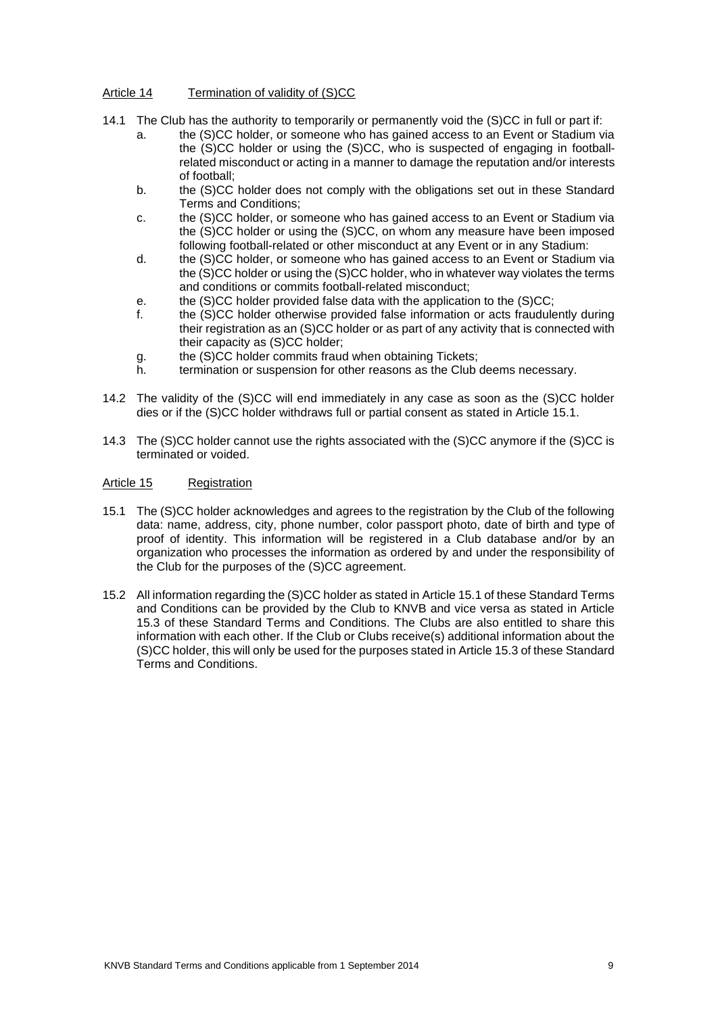## Article 14 Termination of validity of (S)CC

- 14.1 The Club has the authority to temporarily or permanently void the (S)CC in full or part if:
	- a. the (S)CC holder, or someone who has gained access to an Event or Stadium via the (S)CC holder or using the (S)CC, who is suspected of engaging in footballrelated misconduct or acting in a manner to damage the reputation and/or interests of football;
	- b. the (S)CC holder does not comply with the obligations set out in these Standard Terms and Conditions;
	- c. the (S)CC holder, or someone who has gained access to an Event or Stadium via the (S)CC holder or using the (S)CC, on whom any measure have been imposed following football-related or other misconduct at any Event or in any Stadium:
	- d. the (S)CC holder, or someone who has gained access to an Event or Stadium via the (S)CC holder or using the (S)CC holder, who in whatever way violates the terms and conditions or commits football-related misconduct;
	- e. the (S)CC holder provided false data with the application to the (S)CC;
	- f. the (S)CC holder otherwise provided false information or acts fraudulently during their registration as an (S)CC holder or as part of any activity that is connected with their capacity as (S)CC holder;
	- g. the (S)CC holder commits fraud when obtaining Tickets;
	- h. termination or suspension for other reasons as the Club deems necessary.
- 14.2 The validity of the (S)CC will end immediately in any case as soon as the (S)CC holder dies or if the (S)CC holder withdraws full or partial consent as stated in Article 15.1.
- 14.3 The (S)CC holder cannot use the rights associated with the (S)CC anymore if the (S)CC is terminated or voided.

#### Article 15 Registration

- 15.1 The (S)CC holder acknowledges and agrees to the registration by the Club of the following data: name, address, city, phone number, color passport photo, date of birth and type of proof of identity. This information will be registered in a Club database and/or by an organization who processes the information as ordered by and under the responsibility of the Club for the purposes of the (S)CC agreement.
- 15.2 All information regarding the (S)CC holder as stated in Article 15.1 of these Standard Terms and Conditions can be provided by the Club to KNVB and vice versa as stated in Article 15.3 of these Standard Terms and Conditions. The Clubs are also entitled to share this information with each other. If the Club or Clubs receive(s) additional information about the (S)CC holder, this will only be used for the purposes stated in Article 15.3 of these Standard Terms and Conditions.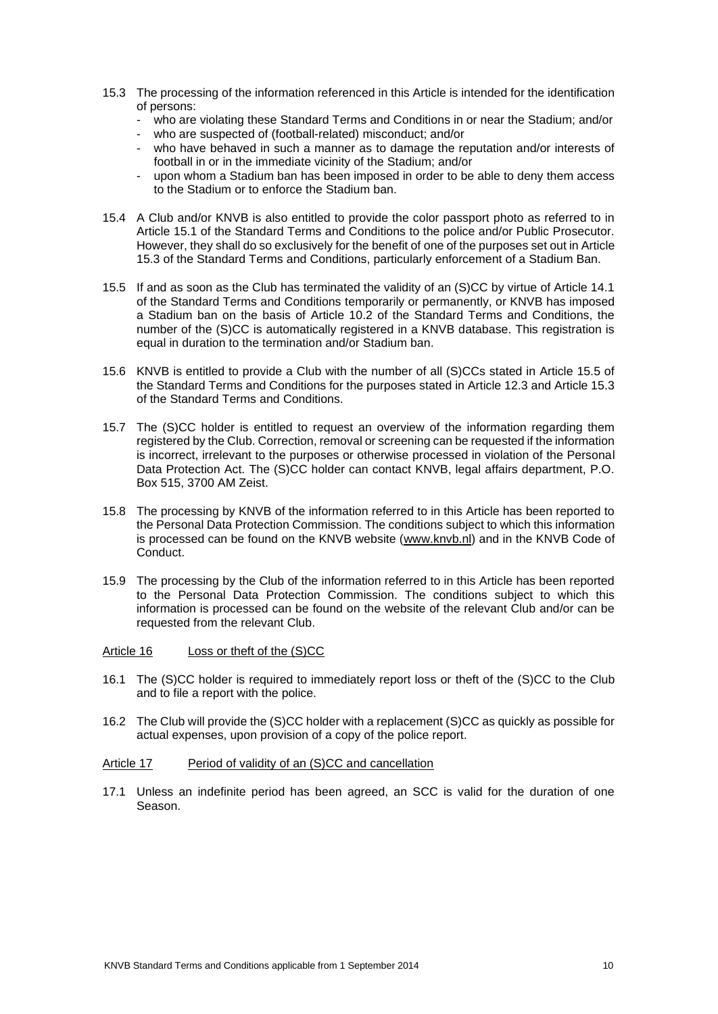- 15.3 The processing of the information referenced in this Article is intended for the identification of persons:
	- who are violating these Standard Terms and Conditions in or near the Stadium; and/or
	- who are suspected of (football-related) misconduct; and/or
	- who have behaved in such a manner as to damage the reputation and/or interests of football in or in the immediate vicinity of the Stadium; and/or
	- upon whom a Stadium ban has been imposed in order to be able to deny them access to the Stadium or to enforce the Stadium ban.
- 15.4 A Club and/or KNVB is also entitled to provide the color passport photo as referred to in Article 15.1 of the Standard Terms and Conditions to the police and/or Public Prosecutor. However, they shall do so exclusively for the benefit of one of the purposes set out in Article 15.3 of the Standard Terms and Conditions, particularly enforcement of a Stadium Ban.
- 15.5 If and as soon as the Club has terminated the validity of an (S)CC by virtue of Article 14.1 of the Standard Terms and Conditions temporarily or permanently, or KNVB has imposed a Stadium ban on the basis of Article 10.2 of the Standard Terms and Conditions, the number of the (S)CC is automatically registered in a KNVB database. This registration is equal in duration to the termination and/or Stadium ban.
- 15.6 KNVB is entitled to provide a Club with the number of all (S)CCs stated in Article 15.5 of the Standard Terms and Conditions for the purposes stated in Article 12.3 and Article 15.3 of the Standard Terms and Conditions.
- 15.7 The (S)CC holder is entitled to request an overview of the information regarding them registered by the Club. Correction, removal or screening can be requested if the information is incorrect, irrelevant to the purposes or otherwise processed in violation of the Personal Data Protection Act. The (S)CC holder can contact KNVB, legal affairs department, P.O. Box 515, 3700 AM Zeist.
- 15.8 The processing by KNVB of the information referred to in this Article has been reported to the Personal Data Protection Commission. The conditions subject to which this information is processed can be found on the KNVB website (www.knvb.nl) and in the KNVB Code of Conduct.
- 15.9 The processing by the Club of the information referred to in this Article has been reported to the Personal Data Protection Commission. The conditions subject to which this information is processed can be found on the website of the relevant Club and/or can be requested from the relevant Club.

## Article 16 Loss or theft of the (S)CC

- 16.1 The (S)CC holder is required to immediately report loss or theft of the (S)CC to the Club and to file a report with the police.
- 16.2 The Club will provide the (S)CC holder with a replacement (S)CC as quickly as possible for actual expenses, upon provision of a copy of the police report.

#### Article 17 Period of validity of an (S)CC and cancellation

17.1 Unless an indefinite period has been agreed, an SCC is valid for the duration of one Season.